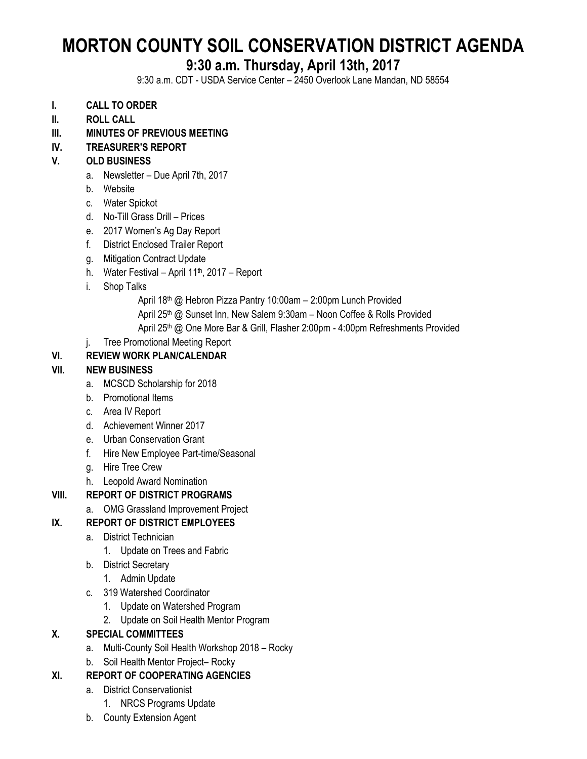# **MORTON COUNTY SOIL CONSERVATION DISTRICT AGENDA**

## **9:30 a.m. Thursday, April 13th, 2017**

9:30 a.m. CDT - USDA Service Center – 2450 Overlook Lane Mandan, ND 58554

- **I. CALL TO ORDER**
- **II. ROLL CALL**
- **III. MINUTES OF PREVIOUS MEETING**

#### **IV. TREASURER'S REPORT**

#### **V. OLD BUSINESS**

- a. Newsletter Due April 7th, 2017
- b. Website
- c. Water Spickot
- d. No-Till Grass Drill Prices
- e. 2017 Women's Ag Day Report
- f. District Enclosed Trailer Report
- g. Mitigation Contract Update
- h. Water Festival April  $11<sup>th</sup>$ , 2017 Report
- i. Shop Talks
	- April 18<sup>th</sup> @ Hebron Pizza Pantry 10:00am 2:00pm Lunch Provided
	- April 25<sup>th</sup> @ Sunset Inn, New Salem 9:30am Noon Coffee & Rolls Provided
	- April 25<sup>th</sup> @ One More Bar & Grill, Flasher 2:00pm 4:00pm Refreshments Provided
- j. Tree Promotional Meeting Report

#### **VI. REVIEW WORK PLAN/CALENDAR**

#### **VII. NEW BUSINESS**

- a. MCSCD Scholarship for 2018
- b. Promotional Items
- c. Area IV Report
- d. Achievement Winner 2017
- e. Urban Conservation Grant
- f. Hire New Employee Part-time/Seasonal
- g. Hire Tree Crew
- h. Leopold Award Nomination

#### **VIII. REPORT OF DISTRICT PROGRAMS**

a. OMG Grassland Improvement Project

#### **IX. REPORT OF DISTRICT EMPLOYEES**

- a. District Technician
	- 1. Update on Trees and Fabric
- b. District Secretary
	- 1. Admin Update
- c. 319 Watershed Coordinator
	- 1. Update on Watershed Program
	- 2. Update on Soil Health Mentor Program

#### **X. SPECIAL COMMITTEES**

- a. Multi-County Soil Health Workshop 2018 Rocky
- b. Soil Health Mentor Project– Rocky

#### **XI. REPORT OF COOPERATING AGENCIES**

- a. District Conservationist
	- 1. NRCS Programs Update
- b. County Extension Agent